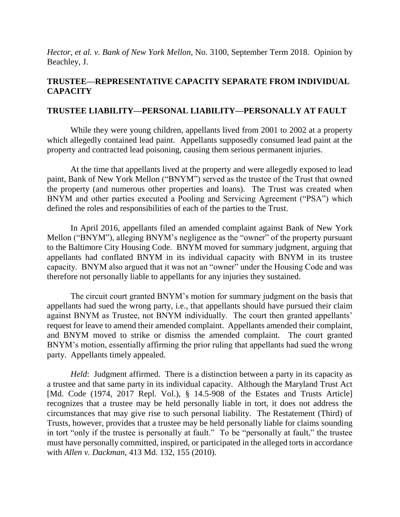*Hector, et al. v. Bank of New York Mellon*, No. 3100, September Term 2018. Opinion by Beachley, J.

# **TRUSTEE—REPRESENTATIVE CAPACITY SEPARATE FROM INDIVIDUAL CAPACITY**

### **TRUSTEE LIABILITY—PERSONAL LIABILITY—PERSONALLY AT FAULT**

While they were young children, appellants lived from 2001 to 2002 at a property which allegedly contained lead paint. Appellants supposedly consumed lead paint at the property and contracted lead poisoning, causing them serious permanent injuries.

At the time that appellants lived at the property and were allegedly exposed to lead paint, Bank of New York Mellon ("BNYM") served as the trustee of the Trust that owned the property (and numerous other properties and loans). The Trust was created when BNYM and other parties executed a Pooling and Servicing Agreement ("PSA") which defined the roles and responsibilities of each of the parties to the Trust.

In April 2016, appellants filed an amended complaint against Bank of New York Mellon ("BNYM"), alleging BNYM's negligence as the "owner" of the property pursuant to the Baltimore City Housing Code. BNYM moved for summary judgment, arguing that appellants had conflated BNYM in its individual capacity with BNYM in its trustee capacity. BNYM also argued that it was not an "owner" under the Housing Code and was therefore not personally liable to appellants for any injuries they sustained.

The circuit court granted BNYM's motion for summary judgment on the basis that appellants had sued the wrong party, i.e., that appellants should have pursued their claim against BNYM as Trustee, not BNYM individually. The court then granted appellants' request for leave to amend their amended complaint. Appellants amended their complaint, and BNYM moved to strike or dismiss the amended complaint. The court granted BNYM's motion, essentially affirming the prior ruling that appellants had sued the wrong party. Appellants timely appealed.

*Held*: Judgment affirmed. There is a distinction between a party in its capacity as a trustee and that same party in its individual capacity. Although the Maryland Trust Act [Md. Code (1974, 2017 Repl. Vol.), § 14.5-908 of the Estates and Trusts Article] recognizes that a trustee may be held personally liable in tort, it does not address the circumstances that may give rise to such personal liability. The Restatement (Third) of Trusts, however, provides that a trustee may be held personally liable for claims sounding in tort "only if the trustee is personally at fault." To be "personally at fault," the trustee must have personally committed, inspired, or participated in the alleged torts in accordance with *Allen v. Dackman*, 413 Md. 132, 155 (2010).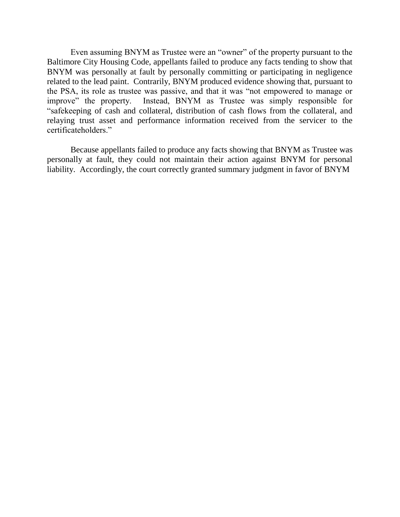Even assuming BNYM as Trustee were an "owner" of the property pursuant to the Baltimore City Housing Code, appellants failed to produce any facts tending to show that BNYM was personally at fault by personally committing or participating in negligence related to the lead paint. Contrarily, BNYM produced evidence showing that, pursuant to the PSA, its role as trustee was passive, and that it was "not empowered to manage or improve" the property. Instead, BNYM as Trustee was simply responsible for "safekeeping of cash and collateral, distribution of cash flows from the collateral, and relaying trust asset and performance information received from the servicer to the certificateholders."

Because appellants failed to produce any facts showing that BNYM as Trustee was personally at fault, they could not maintain their action against BNYM for personal liability. Accordingly, the court correctly granted summary judgment in favor of BNYM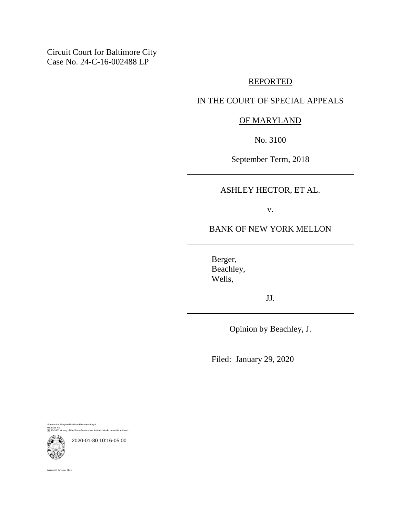Circuit Court for Baltimore City Case No. 24-C-16-002488 LP

#### REPORTED

### IN THE COURT OF SPECIAL APPEALS

### OF MARYLAND

No. 3100

September Term, 2018

## ASHLEY HECTOR, ET AL.

v.

### BANK OF NEW YORK MELLON

Berger, Beachley, Wells,

JJ.

Opinion by Beachley, J.

Filed: January 29, 2020

Pursuant to Maryland Uniform Electronic Legal Materials Act (§§ 10-1601 et seq. of the State Government Article) this document is authentic.



2020-01-30 10:16-05:00

Suzanne C. Johnson, Clerk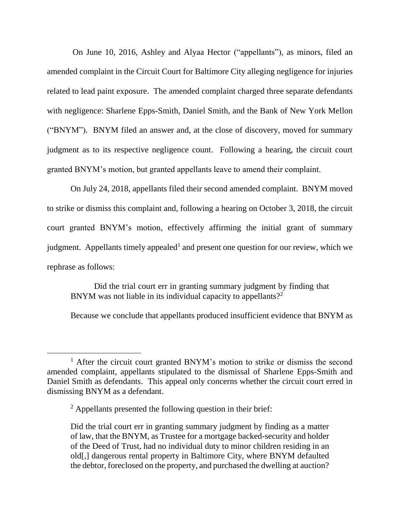On June 10, 2016, Ashley and Alyaa Hector ("appellants"), as minors, filed an amended complaint in the Circuit Court for Baltimore City alleging negligence for injuries related to lead paint exposure. The amended complaint charged three separate defendants with negligence: Sharlene Epps-Smith, Daniel Smith, and the Bank of New York Mellon ("BNYM"). BNYM filed an answer and, at the close of discovery, moved for summary judgment as to its respective negligence count. Following a hearing, the circuit court granted BNYM's motion, but granted appellants leave to amend their complaint.

On July 24, 2018, appellants filed their second amended complaint. BNYM moved to strike or dismiss this complaint and, following a hearing on October 3, 2018, the circuit court granted BNYM's motion, effectively affirming the initial grant of summary judgment. Appellants timely appealed<sup>1</sup> and present one question for our review, which we rephrase as follows:

Did the trial court err in granting summary judgment by finding that BNYM was not liable in its individual capacity to appellants?<sup>2</sup>

Because we conclude that appellants produced insufficient evidence that BNYM as

<sup>&</sup>lt;sup>1</sup> After the circuit court granted BNYM's motion to strike or dismiss the second amended complaint, appellants stipulated to the dismissal of Sharlene Epps-Smith and Daniel Smith as defendants. This appeal only concerns whether the circuit court erred in dismissing BNYM as a defendant.

 $2$  Appellants presented the following question in their brief:

Did the trial court err in granting summary judgment by finding as a matter of law, that the BNYM, as Trustee for a mortgage backed-security and holder of the Deed of Trust, had no individual duty to minor children residing in an old[,] dangerous rental property in Baltimore City, where BNYM defaulted the debtor, foreclosed on the property, and purchased the dwelling at auction?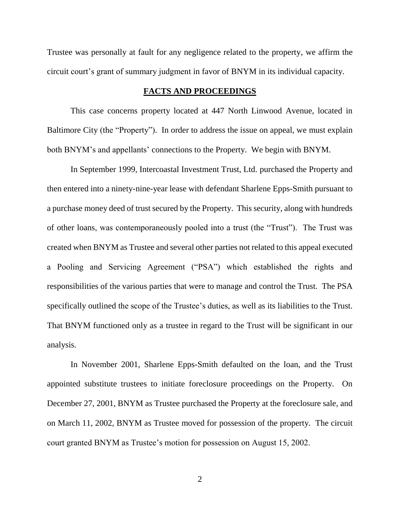Trustee was personally at fault for any negligence related to the property, we affirm the circuit court's grant of summary judgment in favor of BNYM in its individual capacity.

#### **FACTS AND PROCEEDINGS**

This case concerns property located at 447 North Linwood Avenue, located in Baltimore City (the "Property"). In order to address the issue on appeal, we must explain both BNYM's and appellants' connections to the Property. We begin with BNYM.

In September 1999, Intercoastal Investment Trust, Ltd. purchased the Property and then entered into a ninety-nine-year lease with defendant Sharlene Epps-Smith pursuant to a purchase money deed of trust secured by the Property. This security, along with hundreds of other loans, was contemporaneously pooled into a trust (the "Trust"). The Trust was created when BNYM as Trustee and several other parties not related to this appeal executed a Pooling and Servicing Agreement ("PSA") which established the rights and responsibilities of the various parties that were to manage and control the Trust. The PSA specifically outlined the scope of the Trustee's duties, as well as its liabilities to the Trust. That BNYM functioned only as a trustee in regard to the Trust will be significant in our analysis.

In November 2001, Sharlene Epps-Smith defaulted on the loan, and the Trust appointed substitute trustees to initiate foreclosure proceedings on the Property. On December 27, 2001, BNYM as Trustee purchased the Property at the foreclosure sale, and on March 11, 2002, BNYM as Trustee moved for possession of the property. The circuit court granted BNYM as Trustee's motion for possession on August 15, 2002.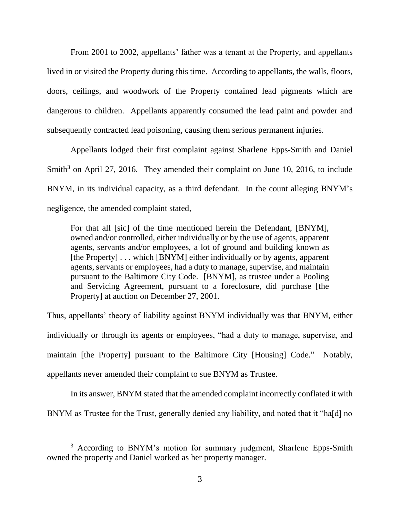From 2001 to 2002, appellants' father was a tenant at the Property, and appellants lived in or visited the Property during this time. According to appellants, the walls, floors, doors, ceilings, and woodwork of the Property contained lead pigments which are dangerous to children. Appellants apparently consumed the lead paint and powder and subsequently contracted lead poisoning, causing them serious permanent injuries.

Appellants lodged their first complaint against Sharlene Epps-Smith and Daniel Smith $3$  on April 27, 2016. They amended their complaint on June 10, 2016, to include BNYM, in its individual capacity, as a third defendant. In the count alleging BNYM's negligence, the amended complaint stated,

For that all [sic] of the time mentioned herein the Defendant, [BNYM], owned and/or controlled, either individually or by the use of agents, apparent agents, servants and/or employees, a lot of ground and building known as [the Property] . . . which [BNYM] either individually or by agents, apparent agents, servants or employees, had a duty to manage, supervise, and maintain pursuant to the Baltimore City Code. [BNYM], as trustee under a Pooling and Servicing Agreement, pursuant to a foreclosure, did purchase [the Property] at auction on December 27, 2001.

Thus, appellants' theory of liability against BNYM individually was that BNYM, either individually or through its agents or employees, "had a duty to manage, supervise, and maintain [the Property] pursuant to the Baltimore City [Housing] Code." Notably, appellants never amended their complaint to sue BNYM as Trustee.

In its answer, BNYM stated that the amended complaint incorrectly conflated it with BNYM as Trustee for the Trust, generally denied any liability, and noted that it "ha[d] no

<sup>&</sup>lt;sup>3</sup> According to BNYM's motion for summary judgment, Sharlene Epps-Smith owned the property and Daniel worked as her property manager.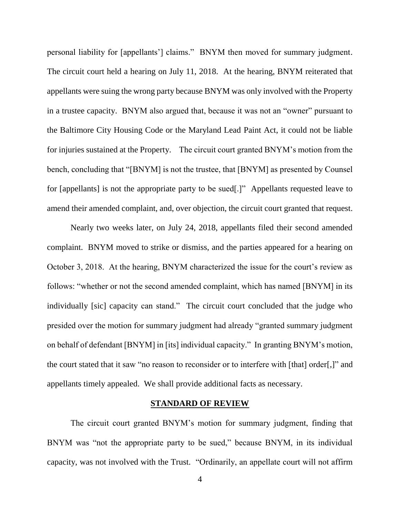personal liability for [appellants'] claims." BNYM then moved for summary judgment. The circuit court held a hearing on July 11, 2018. At the hearing, BNYM reiterated that appellants were suing the wrong party because BNYM was only involved with the Property in a trustee capacity. BNYM also argued that, because it was not an "owner" pursuant to the Baltimore City Housing Code or the Maryland Lead Paint Act, it could not be liable for injuries sustained at the Property. The circuit court granted BNYM's motion from the bench, concluding that "[BNYM] is not the trustee, that [BNYM] as presented by Counsel for [appellants] is not the appropriate party to be sued[.]" Appellants requested leave to amend their amended complaint, and, over objection, the circuit court granted that request.

Nearly two weeks later, on July 24, 2018, appellants filed their second amended complaint. BNYM moved to strike or dismiss, and the parties appeared for a hearing on October 3, 2018. At the hearing, BNYM characterized the issue for the court's review as follows: "whether or not the second amended complaint, which has named [BNYM] in its individually [sic] capacity can stand." The circuit court concluded that the judge who presided over the motion for summary judgment had already "granted summary judgment on behalf of defendant [BNYM] in [its] individual capacity." In granting BNYM's motion, the court stated that it saw "no reason to reconsider or to interfere with [that] order[,]" and appellants timely appealed. We shall provide additional facts as necessary.

#### **STANDARD OF REVIEW**

The circuit court granted BNYM's motion for summary judgment, finding that BNYM was "not the appropriate party to be sued," because BNYM, in its individual capacity, was not involved with the Trust. "Ordinarily, an appellate court will not affirm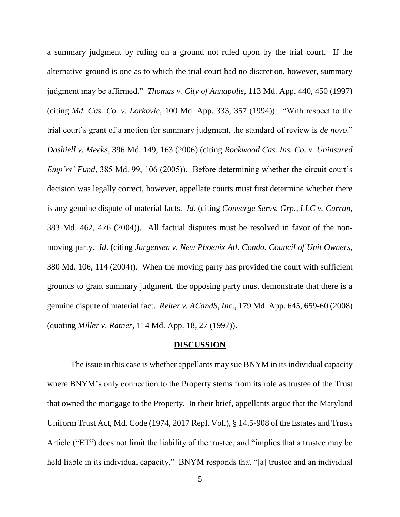a summary judgment by ruling on a ground not ruled upon by the trial court. If the alternative ground is one as to which the trial court had no discretion, however, summary judgment may be affirmed." *Thomas v. City of Annapolis*, 113 Md. App. 440, 450 (1997) (citing *Md. Cas. Co. v. Lorkovic*, 100 Md. App. 333, 357 (1994)). "With respect to the trial court's grant of a motion for summary judgment, the standard of review is *de novo*." *Dashiell v. Meeks*, 396 Md. 149, 163 (2006) (citing *Rockwood Cas. Ins. Co. v. Uninsured Emp'rs' Fund*, 385 Md. 99, 106 (2005)). Before determining whether the circuit court's decision was legally correct, however, appellate courts must first determine whether there is any genuine dispute of material facts. *Id*. (citing *Converge Servs. Grp., LLC v. Curran*, 383 Md. 462, 476 (2004)). All factual disputes must be resolved in favor of the nonmoving party. *Id*. (citing *Jurgensen v. New Phoenix Atl. Condo. Council of Unit Owners*, 380 Md. 106, 114 (2004)). When the moving party has provided the court with sufficient grounds to grant summary judgment, the opposing party must demonstrate that there is a genuine dispute of material fact. *Reiter v. ACandS, Inc*., 179 Md. App. 645, 659-60 (2008) (quoting *Miller v. Ratner*, 114 Md. App. 18, 27 (1997)).

#### **DISCUSSION**

The issue in this case is whether appellants may sue BNYM in its individual capacity where BNYM's only connection to the Property stems from its role as trustee of the Trust that owned the mortgage to the Property. In their brief, appellants argue that the Maryland Uniform Trust Act, Md. Code (1974, 2017 Repl. Vol.), § 14.5-908 of the Estates and Trusts Article ("ET") does not limit the liability of the trustee, and "implies that a trustee may be held liable in its individual capacity." BNYM responds that "[a] trustee and an individual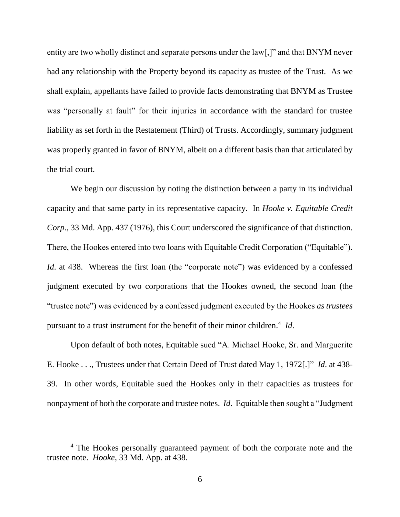entity are two wholly distinct and separate persons under the law[,]" and that BNYM never had any relationship with the Property beyond its capacity as trustee of the Trust. As we shall explain, appellants have failed to provide facts demonstrating that BNYM as Trustee was "personally at fault" for their injuries in accordance with the standard for trustee liability as set forth in the Restatement (Third) of Trusts. Accordingly, summary judgment was properly granted in favor of BNYM, albeit on a different basis than that articulated by the trial court.

We begin our discussion by noting the distinction between a party in its individual capacity and that same party in its representative capacity. In *Hooke v. Equitable Credit Corp*., 33 Md. App. 437 (1976), this Court underscored the significance of that distinction. There, the Hookes entered into two loans with Equitable Credit Corporation ("Equitable"). *Id.* at 438. Whereas the first loan (the "corporate note") was evidenced by a confessed judgment executed by two corporations that the Hookes owned, the second loan (the "trustee note") was evidenced by a confessed judgment executed by the Hookes *as trustees* pursuant to a trust instrument for the benefit of their minor children. 4 *Id*.

Upon default of both notes, Equitable sued "A. Michael Hooke, Sr. and Marguerite E. Hooke . . ., Trustees under that Certain Deed of Trust dated May 1, 1972[.]" *Id*. at 438- 39. In other words, Equitable sued the Hookes only in their capacities as trustees for nonpayment of both the corporate and trustee notes. *Id*. Equitable then sought a "Judgment

<sup>4</sup> The Hookes personally guaranteed payment of both the corporate note and the trustee note. *Hooke*, 33 Md. App. at 438.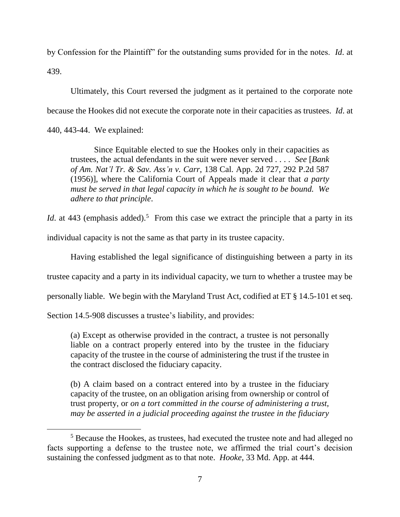by Confession for the Plaintiff" for the outstanding sums provided for in the notes. *Id*. at 439.

Ultimately, this Court reversed the judgment as it pertained to the corporate note because the Hookes did not execute the corporate note in their capacities as trustees. *Id*. at

440, 443-44. We explained:

 $\overline{a}$ 

Since Equitable elected to sue the Hookes only in their capacities as trustees, the actual defendants in the suit were never served . . . . *See* [*Bank of Am. Nat'l Tr. & Sav. Ass'n v. Carr*, 138 Cal. App. 2d 727, 292 P.2d 587 (1956)], where the California Court of Appeals made it clear that *a party must be served in that legal capacity in which he is sought to be bound. We adhere to that principle*.

*Id.* at 443 (emphasis added).<sup>5</sup> From this case we extract the principle that a party in its

individual capacity is not the same as that party in its trustee capacity.

Having established the legal significance of distinguishing between a party in its

trustee capacity and a party in its individual capacity, we turn to whether a trustee may be

personally liable. We begin with the Maryland Trust Act, codified at ET § 14.5-101 et seq.

Section 14.5-908 discusses a trustee's liability, and provides:

(a) Except as otherwise provided in the contract, a trustee is not personally liable on a contract properly entered into by the trustee in the fiduciary capacity of the trustee in the course of administering the trust if the trustee in the contract disclosed the fiduciary capacity.

(b) A claim based on a contract entered into by a trustee in the fiduciary capacity of the trustee, on an obligation arising from ownership or control of trust property, or *on a tort committed in the course of administering a trust, may be asserted in a judicial proceeding against the trustee in the fiduciary* 

<sup>&</sup>lt;sup>5</sup> Because the Hookes, as trustees, had executed the trustee note and had alleged no facts supporting a defense to the trustee note, we affirmed the trial court's decision sustaining the confessed judgment as to that note. *Hooke*, 33 Md. App. at 444.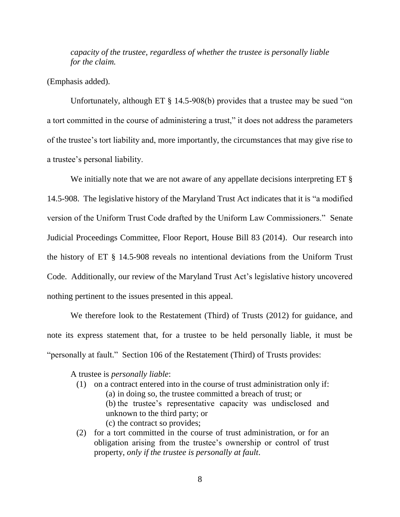*capacity of the trustee, regardless of whether the trustee is personally liable for the claim.* 

(Emphasis added).

Unfortunately, although ET § 14.5-908(b) provides that a trustee may be sued "on a tort committed in the course of administering a trust," it does not address the parameters of the trustee's tort liability and, more importantly, the circumstances that may give rise to a trustee's personal liability.

We initially note that we are not aware of any appellate decisions interpreting ET  $\S$ 14.5-908. The legislative history of the Maryland Trust Act indicates that it is "a modified version of the Uniform Trust Code drafted by the Uniform Law Commissioners." Senate Judicial Proceedings Committee, Floor Report, House Bill 83 (2014). Our research into the history of ET § 14.5-908 reveals no intentional deviations from the Uniform Trust Code. Additionally, our review of the Maryland Trust Act's legislative history uncovered nothing pertinent to the issues presented in this appeal.

We therefore look to the Restatement (Third) of Trusts (2012) for guidance, and note its express statement that, for a trustee to be held personally liable, it must be "personally at fault." Section 106 of the Restatement (Third) of Trusts provides:

A trustee is *personally liable*:

- (1) on a contract entered into in the course of trust administration only if:
	- (a) in doing so, the trustee committed a breach of trust; or
	- (b) the trustee's representative capacity was undisclosed and unknown to the third party; or
	- (c) the contract so provides;
- (2) for a tort committed in the course of trust administration, or for an obligation arising from the trustee's ownership or control of trust property, *only if the trustee is personally at fault*.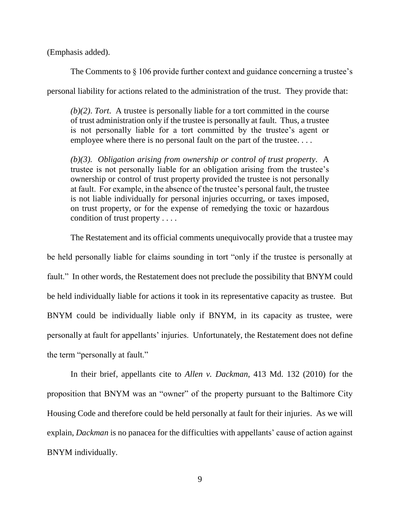(Emphasis added).

The Comments to  $\S 106$  provide further context and guidance concerning a trustee's

personal liability for actions related to the administration of the trust. They provide that:

*(b)(2)*. *Tort*. A trustee is personally liable for a tort committed in the course of trust administration only if the trustee is personally at fault. Thus, a trustee is not personally liable for a tort committed by the trustee's agent or employee where there is no personal fault on the part of the trustee....

*(b)(3). Obligation arising from ownership or control of trust property*. A trustee is not personally liable for an obligation arising from the trustee's ownership or control of trust property provided the trustee is not personally at fault. For example, in the absence of the trustee's personal fault, the trustee is not liable individually for personal injuries occurring, or taxes imposed, on trust property, or for the expense of remedying the toxic or hazardous condition of trust property . . . .

The Restatement and its official comments unequivocally provide that a trustee may

be held personally liable for claims sounding in tort "only if the trustee is personally at fault." In other words, the Restatement does not preclude the possibility that BNYM could be held individually liable for actions it took in its representative capacity as trustee. But BNYM could be individually liable only if BNYM, in its capacity as trustee, were personally at fault for appellants' injuries. Unfortunately, the Restatement does not define the term "personally at fault."

In their brief, appellants cite to *Allen v. Dackman*, 413 Md. 132 (2010) for the proposition that BNYM was an "owner" of the property pursuant to the Baltimore City Housing Code and therefore could be held personally at fault for their injuries. As we will explain, *Dackman* is no panacea for the difficulties with appellants' cause of action against BNYM individually.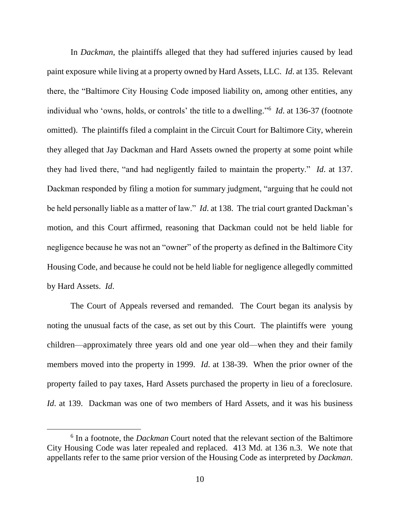In *Dackman*, the plaintiffs alleged that they had suffered injuries caused by lead paint exposure while living at a property owned by Hard Assets, LLC. *Id*. at 135. Relevant there, the "Baltimore City Housing Code imposed liability on, among other entities, any individual who 'owns, holds, or controls' the title to a dwelling."<sup>6</sup> *Id*. at 136-37 (footnote omitted). The plaintiffs filed a complaint in the Circuit Court for Baltimore City, wherein they alleged that Jay Dackman and Hard Assets owned the property at some point while they had lived there, "and had negligently failed to maintain the property." *Id*. at 137. Dackman responded by filing a motion for summary judgment, "arguing that he could not be held personally liable as a matter of law." *Id*. at 138. The trial court granted Dackman's motion, and this Court affirmed, reasoning that Dackman could not be held liable for negligence because he was not an "owner" of the property as defined in the Baltimore City Housing Code, and because he could not be held liable for negligence allegedly committed by Hard Assets. *Id*.

The Court of Appeals reversed and remanded. The Court began its analysis by noting the unusual facts of the case, as set out by this Court. The plaintiffs were young children—approximately three years old and one year old—when they and their family members moved into the property in 1999. *Id*. at 138-39. When the prior owner of the property failed to pay taxes, Hard Assets purchased the property in lieu of a foreclosure. *Id*. at 139. Dackman was one of two members of Hard Assets, and it was his business

<sup>6</sup> In a footnote, the *Dackman* Court noted that the relevant section of the Baltimore City Housing Code was later repealed and replaced. 413 Md. at 136 n.3. We note that appellants refer to the same prior version of the Housing Code as interpreted by *Dackman*.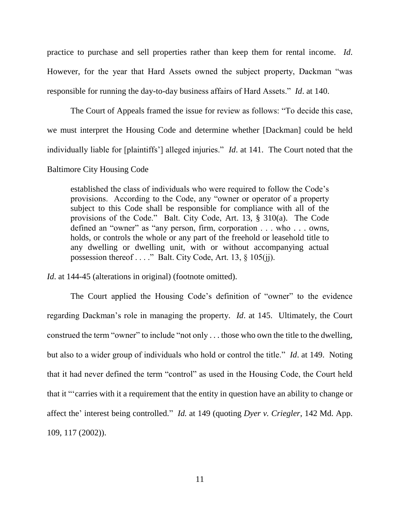practice to purchase and sell properties rather than keep them for rental income. *Id*. However, for the year that Hard Assets owned the subject property, Dackman "was responsible for running the day-to-day business affairs of Hard Assets." *Id*. at 140.

The Court of Appeals framed the issue for review as follows: "To decide this case, we must interpret the Housing Code and determine whether [Dackman] could be held individually liable for [plaintiffs'] alleged injuries." *Id*. at 141. The Court noted that the Baltimore City Housing Code

established the class of individuals who were required to follow the Code's provisions. According to the Code, any "owner or operator of a property subject to this Code shall be responsible for compliance with all of the provisions of the Code." Balt. City Code, Art. 13, § 310(a). The Code defined an "owner" as "any person, firm, corporation . . . who . . . owns, holds, or controls the whole or any part of the freehold or leasehold title to any dwelling or dwelling unit, with or without accompanying actual possession thereof . . . ." Balt. City Code, Art. 13, § 105(jj).

*Id.* at 144-45 (alterations in original) (footnote omitted).

The Court applied the Housing Code's definition of "owner" to the evidence regarding Dackman's role in managing the property. *Id*. at 145. Ultimately, the Court construed the term "owner" to include "not only . . . those who own the title to the dwelling, but also to a wider group of individuals who hold or control the title." *Id*. at 149. Noting that it had never defined the term "control" as used in the Housing Code, the Court held that it "'carries with it a requirement that the entity in question have an ability to change or affect the' interest being controlled." *Id.* at 149 (quoting *Dyer v. Criegler*, 142 Md. App. 109, 117 (2002)).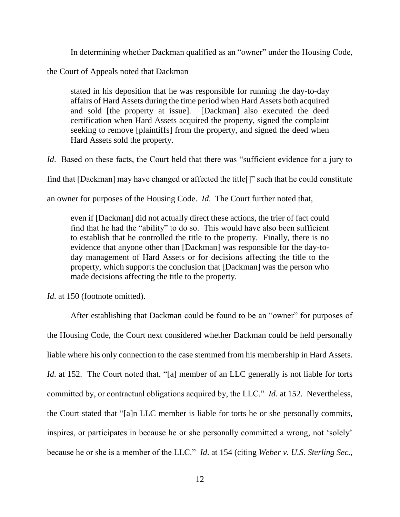In determining whether Dackman qualified as an "owner" under the Housing Code,

the Court of Appeals noted that Dackman

stated in his deposition that he was responsible for running the day-to-day affairs of Hard Assets during the time period when Hard Assets both acquired and sold [the property at issue]. [Dackman] also executed the deed certification when Hard Assets acquired the property, signed the complaint seeking to remove [plaintiffs] from the property, and signed the deed when Hard Assets sold the property.

*Id.* Based on these facts, the Court held that there was "sufficient evidence for a jury to

find that [Dackman] may have changed or affected the title[]" such that he could constitute

an owner for purposes of the Housing Code. *Id*. The Court further noted that,

even if [Dackman] did not actually direct these actions, the trier of fact could find that he had the "ability" to do so. This would have also been sufficient to establish that he controlled the title to the property. Finally, there is no evidence that anyone other than [Dackman] was responsible for the day-today management of Hard Assets or for decisions affecting the title to the property, which supports the conclusion that [Dackman] was the person who made decisions affecting the title to the property.

*Id.* at 150 (footnote omitted).

After establishing that Dackman could be found to be an "owner" for purposes of the Housing Code, the Court next considered whether Dackman could be held personally liable where his only connection to the case stemmed from his membership in Hard Assets. *Id.* at 152. The Court noted that, "[a] member of an LLC generally is not liable for torts committed by, or contractual obligations acquired by, the LLC." *Id*. at 152. Nevertheless, the Court stated that "[a]n LLC member is liable for torts he or she personally commits, inspires, or participates in because he or she personally committed a wrong, not 'solely' because he or she is a member of the LLC." *Id*. at 154 (citing *Weber v. U.S. Sterling Sec.,*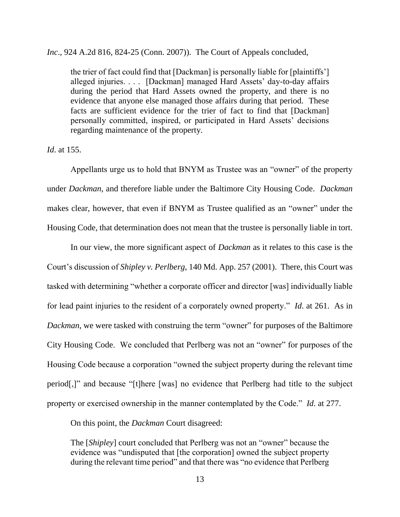*Inc*., 924 A.2d 816, 824-25 (Conn. 2007)). The Court of Appeals concluded,

the trier of fact could find that [Dackman] is personally liable for [plaintiffs'] alleged injuries. . . . [Dackman] managed Hard Assets' day-to-day affairs during the period that Hard Assets owned the property, and there is no evidence that anyone else managed those affairs during that period. These facts are sufficient evidence for the trier of fact to find that [Dackman] personally committed, inspired, or participated in Hard Assets' decisions regarding maintenance of the property.

#### *Id*. at 155.

Appellants urge us to hold that BNYM as Trustee was an "owner" of the property under *Dackman*, and therefore liable under the Baltimore City Housing Code. *Dackman* makes clear, however, that even if BNYM as Trustee qualified as an "owner" under the Housing Code, that determination does not mean that the trustee is personally liable in tort.

In our view, the more significant aspect of *Dackman* as it relates to this case is the Court's discussion of *Shipley v. Perlberg*, 140 Md. App. 257 (2001). There, this Court was tasked with determining "whether a corporate officer and director [was] individually liable for lead paint injuries to the resident of a corporately owned property." *Id*. at 261. As in *Dackman*, we were tasked with construing the term "owner" for purposes of the Baltimore City Housing Code. We concluded that Perlberg was not an "owner" for purposes of the Housing Code because a corporation "owned the subject property during the relevant time period[,]" and because "[t]here [was] no evidence that Perlberg had title to the subject property or exercised ownership in the manner contemplated by the Code." *Id*. at 277.

On this point, the *Dackman* Court disagreed:

The [*Shipley*] court concluded that Perlberg was not an "owner" because the evidence was "undisputed that [the corporation] owned the subject property during the relevant time period" and that there was "no evidence that Perlberg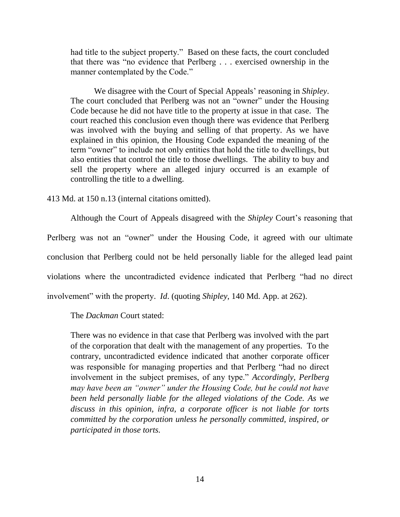had title to the subject property." Based on these facts, the court concluded that there was "no evidence that Perlberg . . . exercised ownership in the manner contemplated by the Code."

We disagree with the Court of Special Appeals' reasoning in *Shipley*. The court concluded that Perlberg was not an "owner" under the Housing Code because he did not have title to the property at issue in that case. The court reached this conclusion even though there was evidence that Perlberg was involved with the buying and selling of that property. As we have explained in this opinion, the Housing Code expanded the meaning of the term "owner" to include not only entities that hold the title to dwellings, but also entities that control the title to those dwellings. The ability to buy and sell the property where an alleged injury occurred is an example of controlling the title to a dwelling.

413 Md. at 150 n.13 (internal citations omitted).

Although the Court of Appeals disagreed with the *Shipley* Court's reasoning that Perlberg was not an "owner" under the Housing Code, it agreed with our ultimate conclusion that Perlberg could not be held personally liable for the alleged lead paint violations where the uncontradicted evidence indicated that Perlberg "had no direct involvement" with the property. *Id*. (quoting *Shipley*, 140 Md. App. at 262).

The *Dackman* Court stated:

There was no evidence in that case that Perlberg was involved with the part of the corporation that dealt with the management of any properties. To the contrary, uncontradicted evidence indicated that another corporate officer was responsible for managing properties and that Perlberg "had no direct involvement in the subject premises, of any type." *Accordingly, Perlberg may have been an "owner" under the Housing Code, but he could not have been held personally liable for the alleged violations of the Code. As we discuss in this opinion, infra, a corporate officer is not liable for torts committed by the corporation unless he personally committed, inspired, or participated in those torts.*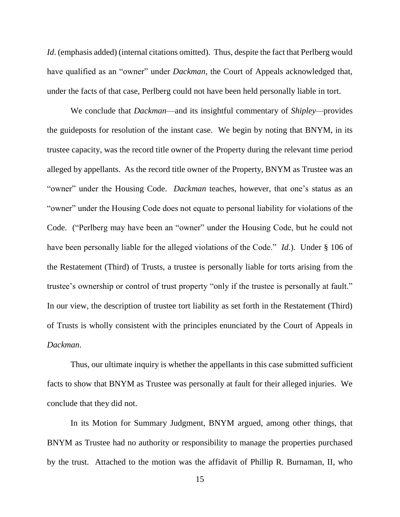*Id.* (emphasis added) (internal citations omitted). Thus, despite the fact that Perlberg would have qualified as an "owner" under *Dackman*, the Court of Appeals acknowledged that, under the facts of that case, Perlberg could not have been held personally liable in tort.

We conclude that *Dackman*—and its insightful commentary of *Shipley—*provides the guideposts for resolution of the instant case. We begin by noting that BNYM, in its trustee capacity, was the record title owner of the Property during the relevant time period alleged by appellants. As the record title owner of the Property, BNYM as Trustee was an "owner" under the Housing Code. *Dackman* teaches, however, that one's status as an "owner" under the Housing Code does not equate to personal liability for violations of the Code. ("Perlberg may have been an "owner" under the Housing Code, but he could not have been personally liable for the alleged violations of the Code." *Id*.). Under § 106 of the Restatement (Third) of Trusts, a trustee is personally liable for torts arising from the trustee's ownership or control of trust property "only if the trustee is personally at fault." In our view, the description of trustee tort liability as set forth in the Restatement (Third) of Trusts is wholly consistent with the principles enunciated by the Court of Appeals in *Dackman*.

Thus, our ultimate inquiry is whether the appellants in this case submitted sufficient facts to show that BNYM as Trustee was personally at fault for their alleged injuries. We conclude that they did not.

In its Motion for Summary Judgment, BNYM argued, among other things, that BNYM as Trustee had no authority or responsibility to manage the properties purchased by the trust. Attached to the motion was the affidavit of Phillip R. Burnaman, II, who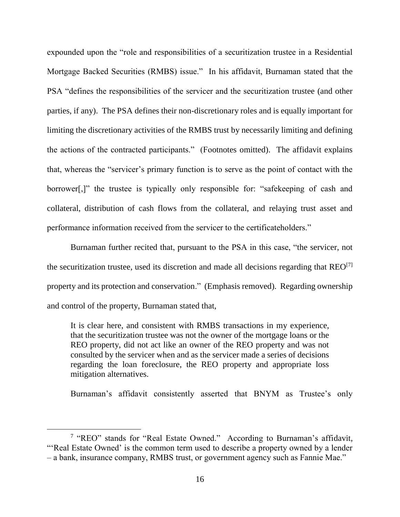expounded upon the "role and responsibilities of a securitization trustee in a Residential Mortgage Backed Securities (RMBS) issue." In his affidavit, Burnaman stated that the PSA "defines the responsibilities of the servicer and the securitization trustee (and other parties, if any). The PSA defines their non-discretionary roles and is equally important for limiting the discretionary activities of the RMBS trust by necessarily limiting and defining the actions of the contracted participants." (Footnotes omitted). The affidavit explains that, whereas the "servicer's primary function is to serve as the point of contact with the borrower[,]" the trustee is typically only responsible for: "safekeeping of cash and collateral, distribution of cash flows from the collateral, and relaying trust asset and performance information received from the servicer to the certificateholders."

Burnaman further recited that, pursuant to the PSA in this case, "the servicer, not the securitization trustee, used its discretion and made all decisions regarding that  $REO^{[7]}$ property and its protection and conservation." (Emphasis removed). Regarding ownership and control of the property, Burnaman stated that,

It is clear here, and consistent with RMBS transactions in my experience, that the securitization trustee was not the owner of the mortgage loans or the REO property, did not act like an owner of the REO property and was not consulted by the servicer when and as the servicer made a series of decisions regarding the loan foreclosure, the REO property and appropriate loss mitigation alternatives.

Burnaman's affidavit consistently asserted that BNYM as Trustee's only

<sup>&</sup>lt;sup>7</sup> "REO" stands for "Real Estate Owned." According to Burnaman's affidavit, "'Real Estate Owned' is the common term used to describe a property owned by a lender – a bank, insurance company, RMBS trust, or government agency such as Fannie Mae."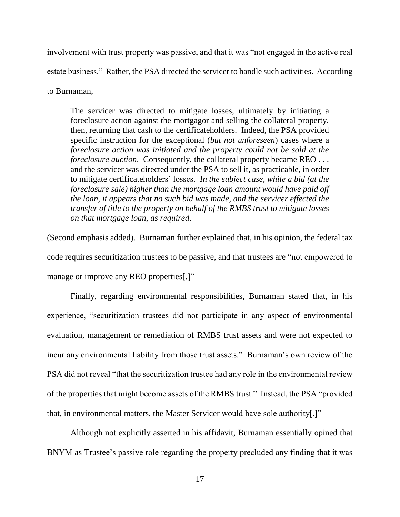involvement with trust property was passive, and that it was "not engaged in the active real estate business." Rather, the PSA directed the servicer to handle such activities. According

to Burnaman,

The servicer was directed to mitigate losses, ultimately by initiating a foreclosure action against the mortgagor and selling the collateral property, then, returning that cash to the certificateholders. Indeed, the PSA provided specific instruction for the exceptional (*but not unforeseen*) cases where a *foreclosure action was initiated and the property could not be sold at the foreclosure auction.* Consequently, the collateral property became REO . . . and the servicer was directed under the PSA to sell it, as practicable, in order to mitigate certificateholders' losses. *In the subject case, while a bid (at the foreclosure sale) higher than the mortgage loan amount would have paid off the loan, it appears that no such bid was made, and the servicer effected the transfer of title to the property on behalf of the RMBS trust to mitigate losses on that mortgage loan, as required*.

(Second emphasis added). Burnaman further explained that, in his opinion, the federal tax code requires securitization trustees to be passive, and that trustees are "not empowered to manage or improve any REO properties[.]"

Finally, regarding environmental responsibilities, Burnaman stated that, in his experience, "securitization trustees did not participate in any aspect of environmental evaluation, management or remediation of RMBS trust assets and were not expected to incur any environmental liability from those trust assets." Burnaman's own review of the PSA did not reveal "that the securitization trustee had any role in the environmental review of the properties that might become assets of the RMBS trust." Instead, the PSA "provided that, in environmental matters, the Master Servicer would have sole authority[.]"

Although not explicitly asserted in his affidavit, Burnaman essentially opined that BNYM as Trustee's passive role regarding the property precluded any finding that it was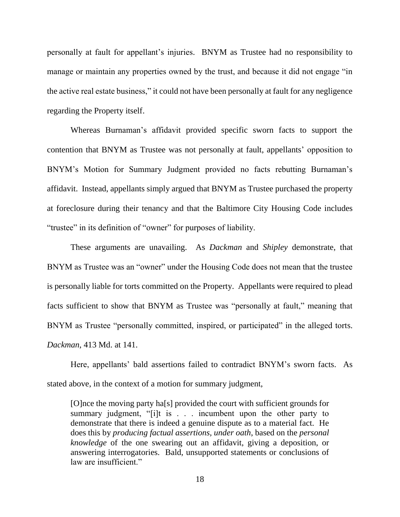personally at fault for appellant's injuries. BNYM as Trustee had no responsibility to manage or maintain any properties owned by the trust, and because it did not engage "in the active real estate business," it could not have been personally at fault for any negligence regarding the Property itself.

Whereas Burnaman's affidavit provided specific sworn facts to support the contention that BNYM as Trustee was not personally at fault, appellants' opposition to BNYM's Motion for Summary Judgment provided no facts rebutting Burnaman's affidavit. Instead, appellants simply argued that BNYM as Trustee purchased the property at foreclosure during their tenancy and that the Baltimore City Housing Code includes "trustee" in its definition of "owner" for purposes of liability.

These arguments are unavailing. As *Dackman* and *Shipley* demonstrate, that BNYM as Trustee was an "owner" under the Housing Code does not mean that the trustee is personally liable for torts committed on the Property. Appellants were required to plead facts sufficient to show that BNYM as Trustee was "personally at fault," meaning that BNYM as Trustee "personally committed, inspired, or participated" in the alleged torts. *Dackman*, 413 Md. at 141.

Here, appellants' bald assertions failed to contradict BNYM's sworn facts. As stated above, in the context of a motion for summary judgment,

[O]nce the moving party ha[s] provided the court with sufficient grounds for summary judgment, "[i]t is . . . incumbent upon the other party to demonstrate that there is indeed a genuine dispute as to a material fact. He does this by *producing factual assertions, under oath*, based on the *personal knowledge* of the one swearing out an affidavit, giving a deposition, or answering interrogatories. Bald, unsupported statements or conclusions of law are insufficient."